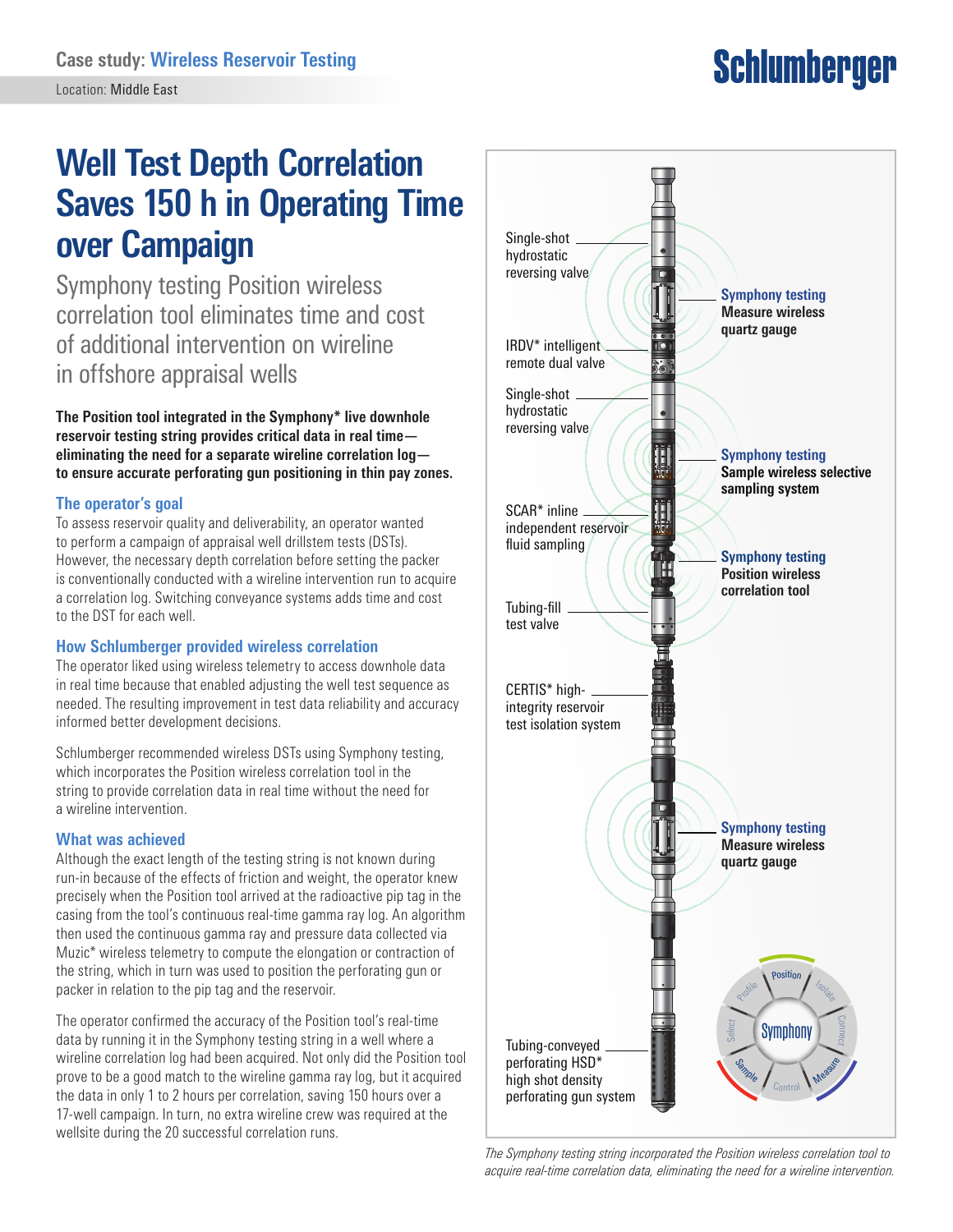# **Schlumberger**

## **Well Test Depth Correlation Saves 150 h in Operating Time over Campaign**

Symphony testing Position wireless correlation tool eliminates time and cost of additional intervention on wireline in offshore appraisal wells

**The Position tool integrated in the Symphony\* live downhole reservoir testing string provides critical data in real time eliminating the need for a separate wireline correlation log to ensure accurate perforating gun positioning in thin pay zones.**

#### **The operator's goal**

To assess reservoir quality and deliverability, an operator wanted to perform a campaign of appraisal well drillstem tests (DSTs). However, the necessary depth correlation before setting the packer is conventionally conducted with a wireline intervention run to acquire a correlation log. Switching conveyance systems adds time and cost to the DST for each well.

#### **How Schlumberger provided wireless correlation**

The operator liked using wireless telemetry to access downhole data in real time because that enabled adjusting the well test sequence as needed. The resulting improvement in test data reliability and accuracy informed better development decisions.

Schlumberger recommended wireless DSTs using Symphony testing, which incorporates the Position wireless correlation tool in the string to provide correlation data in real time without the need for a wireline intervention.

#### **What was achieved**

Although the exact length of the testing string is not known during run-in because of the effects of friction and weight, the operator knew precisely when the Position tool arrived at the radioactive pip tag in the casing from the tool's continuous real-time gamma ray log. An algorithm then used the continuous gamma ray and pressure data collected via Muzic\* wireless telemetry to compute the elongation or contraction of the string, which in turn was used to position the perforating gun or packer in relation to the pip tag and the reservoir.

The operator confirmed the accuracy of the Position tool's real-time data by running it in the Symphony testing string in a well where a wireline correlation log had been acquired. Not only did the Position tool prove to be a good match to the wireline gamma ray log, but it acquired the data in only 1 to 2 hours per correlation, saving 150 hours over a 17-well campaign. In turn, no extra wireline crew was required at the wellsite during the 20 successful correlation runs.



*The Symphony testing string incorporated the Position wireless correlation tool to acquire real-time correlation data, eliminating the need for a wireline intervention.*